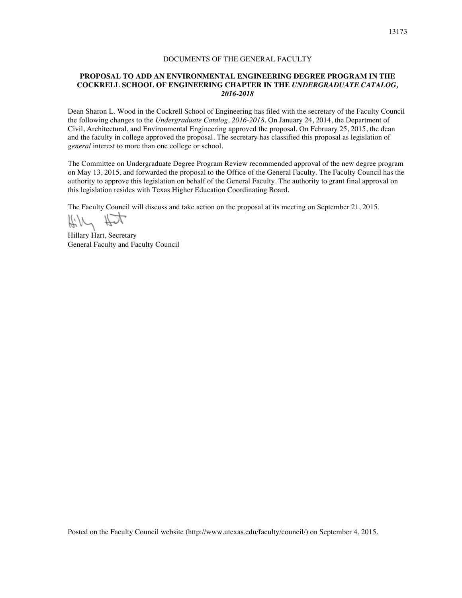## DOCUMENTS OF THE GENERAL FACULTY

## **PROPOSAL TO ADD AN ENVIRONMENTAL ENGINEERING DEGREE PROGRAM IN THE COCKRELL SCHOOL OF ENGINEERING CHAPTER IN THE** *UNDERGRADUATE CATALOG, 2016-2018*

Dean Sharon L. Wood in the Cockrell School of Engineering has filed with the secretary of the Faculty Council the following changes to the *Undergraduate Catalog, 2016-2018*. On January 24, 2014, the Department of Civil, Architectural, and Environmental Engineering approved the proposal. On February 25, 2015, the dean and the faculty in college approved the proposal. The secretary has classified this proposal as legislation of *general* interest to more than one college or school.

The Committee on Undergraduate Degree Program Review recommended approval of the new degree program on May 13, 2015, and forwarded the proposal to the Office of the General Faculty. The Faculty Council has the authority to approve this legislation on behalf of the General Faculty. The authority to grant final approval on this legislation resides with Texas Higher Education Coordinating Board.

The Faculty Council will discuss and take action on the proposal at its meeting on September 21, 2015.

Kill Hit

Hillary Hart, Secretary General Faculty and Faculty Council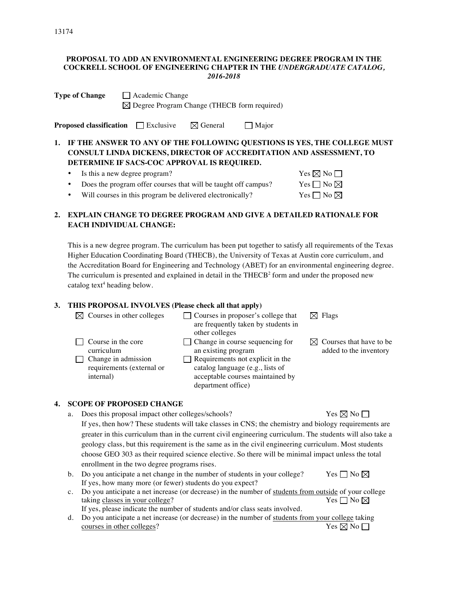#### **PROPOSAL TO ADD AN ENVIRONMENTAL ENGINEERING DEGREE PROGRAM IN THE COCKRELL SCHOOL OF ENGINEERING CHAPTER IN THE** *UNDERGRADUATE CATALOG, 2016-2018*

| <b>Type of Change</b> | Academic Change                                         |  |  |
|-----------------------|---------------------------------------------------------|--|--|
|                       | $\boxtimes$ Degree Program Change (THECB form required) |  |  |

**Proposed classification** Exclusive  $\boxtimes$  General Major

# **1. IF THE ANSWER TO ANY OF THE FOLLOWING QUESTIONS IS YES, THE COLLEGE MUST CONSULT LINDA DICKENS, DIRECTOR OF ACCREDITATION AND ASSESSMENT, TO DETERMINE IF SACS-COC APPROVAL IS REQUIRED.**

- Is this a new degree program?  $\mathbf{Yes} \boxtimes \mathbf{No} \square$
- Does the program offer courses that will be taught off campus? Yes  $\Box$  No  $\boxtimes$
- Will courses in this program be delivered electronically? Yes  $\Box$  No  $\boxtimes$

# **2. EXPLAIN CHANGE TO DEGREE PROGRAM AND GIVE A DETAILED RATIONALE FOR EACH INDIVIDUAL CHANGE:**

This is a new degree program. The curriculum has been put together to satisfy all requirements of the Texas Higher Education Coordinating Board (THECB), the University of Texas at Austin core curriculum, and the Accreditation Board for Engineering and Technology (ABET) for an environmental engineering degree. The curriculum is presented and explained in detail in the  $THECB<sup>2</sup>$  form and under the proposed new catalog text<sup>4</sup> heading below.

## **3. THIS PROPOSAL INVOLVES (Please check all that apply)**

| $\boxtimes$ Courses in other colleges                                                                    | $\Box$ Courses in proposer's college that<br>are frequently taken by students in<br>other colleges                                                                                                     | $\boxtimes$ Flags                                             |
|----------------------------------------------------------------------------------------------------------|--------------------------------------------------------------------------------------------------------------------------------------------------------------------------------------------------------|---------------------------------------------------------------|
| $\Box$ Course in the core<br>curriculum<br>Change in admission<br>requirements (external or<br>internal) | $\Box$ Change in course sequencing for<br>an existing program<br>$\Box$ Requirements not explicit in the<br>catalog language (e.g., lists of<br>acceptable courses maintained by<br>department office) | $\boxtimes$ Courses that have to be<br>added to the inventory |

## **4. SCOPE OF PROPOSED CHANGE**

- a. Does this proposal impact other colleges/schools? Yes  $\boxtimes$  No  $\Box$ If yes, then how? These students will take classes in CNS; the chemistry and biology requirements are greater in this curriculum than in the current civil engineering curriculum. The students will also take a geology class, but this requirement is the same as in the civil engineering curriculum. Most students choose GEO 303 as their required science elective. So there will be minimal impact unless the total enrollment in the two degree programs rises.
- b. Do you anticipate a net change in the number of students in your college? Yes  $\Box$  No  $\boxtimes$ If yes, how many more (or fewer) students do you expect?
- c. Do you anticipate a net increase (or decrease) in the number of students from outside of your college taking classes in your college? Yes  $\Box$  No  $\boxtimes$ If yes, please indicate the number of students and/or class seats involved.
- d. Do you anticipate a net increase (or decrease) in the number of students from your college taking courses in other colleges? Yes  $\boxtimes$  No  $\Box$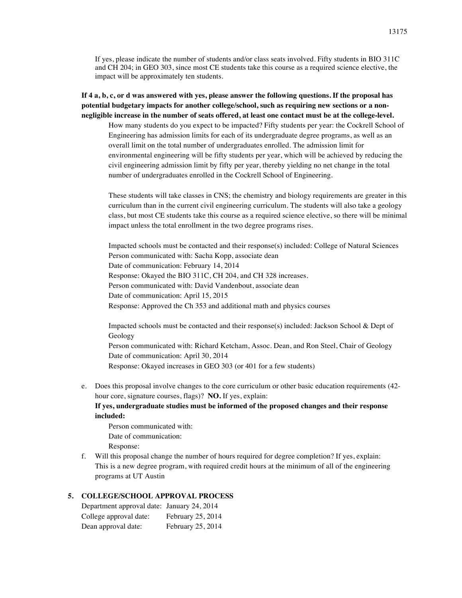If yes, please indicate the number of students and/or class seats involved. Fifty students in BIO 311C and CH 204; in GEO 303, since most CE students take this course as a required science elective, the impact will be approximately ten students.

**If 4 a, b, c, or d was answered with yes, please answer the following questions. If the proposal has potential budgetary impacts for another college/school, such as requiring new sections or a nonnegligible increase in the number of seats offered, at least one contact must be at the college-level.**

How many students do you expect to be impacted? Fifty students per year: the Cockrell School of Engineering has admission limits for each of its undergraduate degree programs, as well as an overall limit on the total number of undergraduates enrolled. The admission limit for environmental engineering will be fifty students per year, which will be achieved by reducing the civil engineering admission limit by fifty per year, thereby yielding no net change in the total number of undergraduates enrolled in the Cockrell School of Engineering.

These students will take classes in CNS; the chemistry and biology requirements are greater in this curriculum than in the current civil engineering curriculum. The students will also take a geology class, but most CE students take this course as a required science elective, so there will be minimal impact unless the total enrollment in the two degree programs rises.

Impacted schools must be contacted and their response(s) included: College of Natural Sciences Person communicated with: Sacha Kopp, associate dean Date of communication: February 14, 2014 Response: Okayed the BIO 311C, CH 204, and CH 328 increases. Person communicated with: David Vandenbout, associate dean Date of communication: April 15, 2015 Response: Approved the Ch 353 and additional math and physics courses

Impacted schools must be contacted and their response(s) included: Jackson School & Dept of Geology Person communicated with: Richard Ketcham, Assoc. Dean, and Ron Steel, Chair of Geology Date of communication: April 30, 2014 Response: Okayed increases in GEO 303 (or 401 for a few students)

e. Does this proposal involve changes to the core curriculum or other basic education requirements (42 hour core, signature courses, flags)? **NO.** If yes, explain: **If yes, undergraduate studies must be informed of the proposed changes and their response** 

**included:**

Person communicated with: Date of communication: Response:

f. Will this proposal change the number of hours required for degree completion? If yes, explain: This is a new degree program, with required credit hours at the minimum of all of the engineering programs at UT Austin

#### **5. COLLEGE/SCHOOL APPROVAL PROCESS**

| Department approval date: January 24, 2014 |                   |
|--------------------------------------------|-------------------|
| College approval date:                     | February 25, 2014 |
| Dean approval date:                        | February 25, 2014 |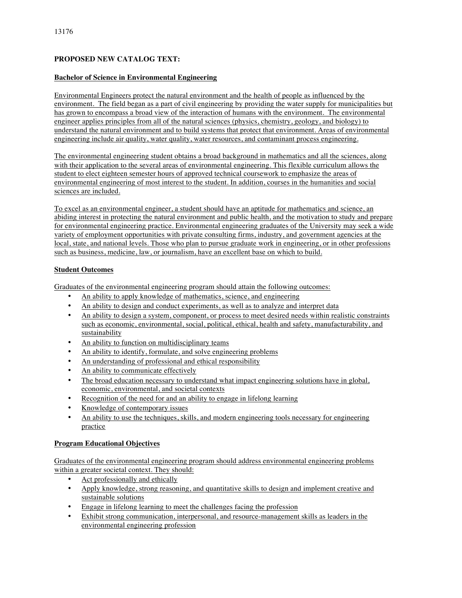## **PROPOSED NEW CATALOG TEXT:**

## **Bachelor of Science in Environmental Engineering**

Environmental Engineers protect the natural environment and the health of people as influenced by the environment. The field began as a part of civil engineering by providing the water supply for municipalities but has grown to encompass a broad view of the interaction of humans with the environment. The environmental engineer applies principles from all of the natural sciences (physics, chemistry, geology, and biology) to understand the natural environment and to build systems that protect that environment. Areas of environmental engineering include air quality, water quality, water resources, and contaminant process engineering.

The environmental engineering student obtains a broad background in mathematics and all the sciences, along with their application to the several areas of environmental engineering. This flexible curriculum allows the student to elect eighteen semester hours of approved technical coursework to emphasize the areas of environmental engineering of most interest to the student. In addition, courses in the humanities and social sciences are included.

To excel as an environmental engineer, a student should have an aptitude for mathematics and science, an abiding interest in protecting the natural environment and public health, and the motivation to study and prepare for environmental engineering practice. Environmental engineering graduates of the University may seek a wide variety of employment opportunities with private consulting firms, industry, and government agencies at the local, state, and national levels. Those who plan to pursue graduate work in engineering, or in other professions such as business, medicine, law, or journalism, have an excellent base on which to build.

## **Student Outcomes**

Graduates of the environmental engineering program should attain the following outcomes:

- An ability to apply knowledge of mathematics, science, and engineering
- An ability to design and conduct experiments, as well as to analyze and interpret data
- An ability to design a system, component, or process to meet desired needs within realistic constraints such as economic, environmental, social, political, ethical, health and safety, manufacturability, and sustainability
- An ability to function on multidisciplinary teams
- An ability to identify, formulate, and solve engineering problems
- An understanding of professional and ethical responsibility
- An ability to communicate effectively
- The broad education necessary to understand what impact engineering solutions have in global, economic, environmental, and societal contexts
- Recognition of the need for and an ability to engage in lifelong learning
- Knowledge of contemporary issues
- An ability to use the techniques, skills, and modern engineering tools necessary for engineering practice

## **Program Educational Objectives**

Graduates of the environmental engineering program should address environmental engineering problems within a greater societal context. They should:

- Act professionally and ethically
- Apply knowledge, strong reasoning, and quantitative skills to design and implement creative and sustainable solutions
- Engage in lifelong learning to meet the challenges facing the profession
- Exhibit strong communication, interpersonal, and resource-management skills as leaders in the environmental engineering profession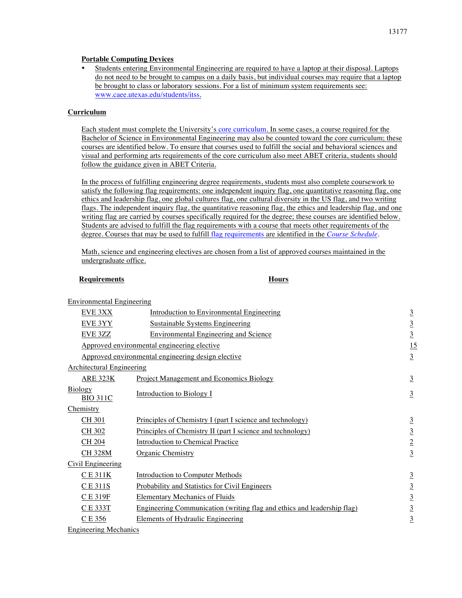#### **Portable Computing Devices**

• Students entering Environmental Engineering are required to have a laptop at their disposal. Laptops do not need to be brought to campus on a daily basis, but individual courses may require that a laptop be brought to class or laboratory sessions. For a list of minimum system requirements see: www.caee.utexas.edu/students/itss.

## **Curriculum**

Each student must complete the University's core curriculum. In some cases, a course required for the Bachelor of Science in Environmental Engineering may also be counted toward the core curriculum; these courses are identified below. To ensure that courses used to fulfill the social and behavioral sciences and visual and performing arts requirements of the core curriculum also meet ABET criteria, students should follow the guidance given in ABET Criteria.

In the process of fulfilling engineering degree requirements, students must also complete coursework to satisfy the following flag requirements: one independent inquiry flag, one quantitative reasoning flag, one ethics and leadership flag, one global cultures flag, one cultural diversity in the US flag, and two writing flags. The independent inquiry flag, the quantitative reasoning flag, the ethics and leadership flag, and one writing flag are carried by courses specifically required for the degree; these courses are identified below. Students are advised to fulfill the flag requirements with a course that meets other requirements of the degree. Courses that may be used to fulfill flag requirements are identified in the *Course Schedule*.

Math, science and engineering electives are chosen from a list of approved courses maintained in the undergraduate office.

#### **Requirements Hours**

| <b>Environmental Engineering</b>  |                                                                         |                 |
|-----------------------------------|-------------------------------------------------------------------------|-----------------|
| <b>EVE 3XX</b>                    | Introduction to Environmental Engineering                               | $\overline{3}$  |
| EVE 3YY                           | <b>Sustainable Systems Engineering</b>                                  | $\overline{3}$  |
| EVE 3ZZ                           | <b>Environmental Engineering and Science</b>                            | $\overline{3}$  |
|                                   | Approved environmental engineering elective                             | 15              |
|                                   | Approved environmental engineering design elective                      | $\overline{3}$  |
| <b>Architectural Engineering</b>  |                                                                         |                 |
| <b>ARE 323K</b>                   | <b>Project Management and Economics Biology</b>                         | $\overline{3}$  |
| <b>Biology</b><br><b>BIO 311C</b> | <b>Introduction to Biology I</b>                                        | $\overline{3}$  |
| Chemistry                         |                                                                         |                 |
| <b>CH 301</b>                     | Principles of Chemistry I (part I science and technology)               | $\overline{3}$  |
| <b>CH 302</b>                     | Principles of Chemistry II (part I science and technology)              | $\underline{3}$ |
| CH 204                            | Introduction to Chemical Practice                                       | $\overline{2}$  |
| <b>CH328M</b>                     | <b>Organic Chemistry</b>                                                | $\underline{3}$ |
| Civil Engineering                 |                                                                         |                 |
| $CE$ 311 $K$                      | <b>Introduction to Computer Methods</b>                                 | $\overline{3}$  |
| CE 311S                           | Probability and Statistics for Civil Engineers                          | $\underline{3}$ |
| C E 319F                          | <b>Elementary Mechanics of Fluids</b>                                   | $\overline{3}$  |
| CE 333T                           | Engineering Communication (writing flag and ethics and leadership flag) | $\underline{3}$ |
| C E 356                           | <b>Elements of Hydraulic Engineering</b>                                | $\underline{3}$ |
| E <sub>n</sub>                    |                                                                         |                 |

Engineering Mechanics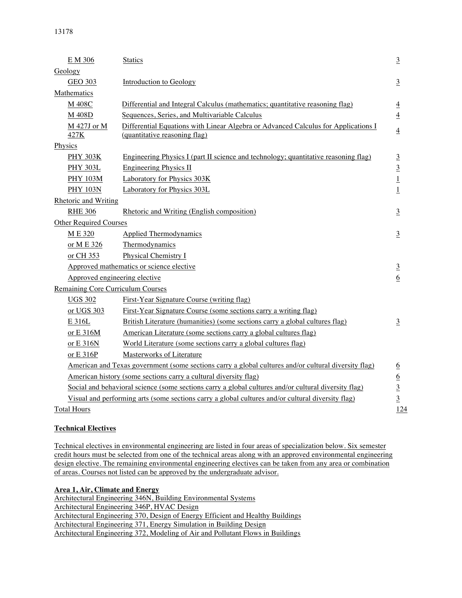| E M 306                                                                                              | <b>Statics</b>                                                                                                      | $\overline{3}$   |
|------------------------------------------------------------------------------------------------------|---------------------------------------------------------------------------------------------------------------------|------------------|
| Geology                                                                                              |                                                                                                                     |                  |
| <b>GEO 303</b>                                                                                       | Introduction to Geology                                                                                             | $\overline{3}$   |
| Mathematics                                                                                          |                                                                                                                     |                  |
| M 408C                                                                                               | Differential and Integral Calculus (mathematics; quantitative reasoning flag)                                       | $\overline{4}$   |
| M 408D                                                                                               | Sequences, Series, and Multivariable Calculus                                                                       | $\overline{4}$   |
| M 427J or M<br>427K                                                                                  | Differential Equations with Linear Algebra or Advanced Calculus for Applications I<br>(quantitative reasoning flag) | $\overline{4}$   |
| Physics                                                                                              |                                                                                                                     |                  |
| <b>PHY 303K</b>                                                                                      | Engineering Physics I (part II science and technology; quantitative reasoning flag)                                 | $\overline{3}$   |
| <b>PHY 303L</b>                                                                                      | <b>Engineering Physics II</b>                                                                                       | $\overline{3}$   |
| <b>PHY 103M</b>                                                                                      | Laboratory for Physics 303K                                                                                         | $\overline{1}$   |
| <b>PHY 103N</b>                                                                                      | Laboratory for Physics 303L                                                                                         | $\overline{1}$   |
| <b>Rhetoric and Writing</b>                                                                          |                                                                                                                     |                  |
| <b>RHE 306</b>                                                                                       | Rhetoric and Writing (English composition)                                                                          | $\overline{3}$   |
| Other Required Courses                                                                               |                                                                                                                     |                  |
| M E 320                                                                                              | <b>Applied Thermodynamics</b>                                                                                       | $\overline{3}$   |
| or M E 326                                                                                           | Thermodynamics                                                                                                      |                  |
| or CH 353                                                                                            | Physical Chemistry I                                                                                                |                  |
|                                                                                                      | Approved mathematics or science elective                                                                            | $\overline{3}$   |
|                                                                                                      | Approved engineering elective                                                                                       | $\sqrt{6}$       |
| <b>Remaining Core Curriculum Courses</b>                                                             |                                                                                                                     |                  |
| <b>UGS 302</b>                                                                                       | First-Year Signature Course (writing flag)                                                                          |                  |
| or UGS 303                                                                                           | First-Year Signature Course (some sections carry a writing flag)                                                    |                  |
| E 316L                                                                                               | British Literature (humanities) (some sections carry a global cultures flag)                                        | $\overline{3}$   |
| or E 316M                                                                                            | American Literature (some sections carry a global cultures flag)                                                    |                  |
| or E 316N                                                                                            | World Literature (some sections carry a global cultures flag)                                                       |                  |
| or E 316P                                                                                            | Masterworks of Literature                                                                                           |                  |
|                                                                                                      | American and Texas government (some sections carry a global cultures and/or cultural diversity flag)                | $\underline{6}$  |
|                                                                                                      | American history (some sections carry a cultural diversity flag)                                                    | $6 \overline{6}$ |
| Social and behavioral science (some sections carry a global cultures and/or cultural diversity flag) |                                                                                                                     | $\overline{3}$   |
| Visual and performing arts (some sections carry a global cultures and/or cultural diversity flag)    |                                                                                                                     | $\overline{3}$   |
| <b>Total Hours</b>                                                                                   |                                                                                                                     |                  |

# **Technical Electives**

Technical electives in environmental engineering are listed in four areas of specialization below. Six semester credit hours must be selected from one of the technical areas along with an approved environmental engineering design elective. The remaining environmental engineering electives can be taken from any area or combination of areas. Courses not listed can be approved by the undergraduate advisor.

# **Area 1, Air, Climate and Energy**

Architectural Engineering 346N, Building Environmental Systems Architectural Engineering 346P, HVAC Design Architectural Engineering 370, Design of Energy Efficient and Healthy Buildings Architectural Engineering 371, Energy Simulation in Building Design Architectural Engineering 372, Modeling of Air and Pollutant Flows in Buildings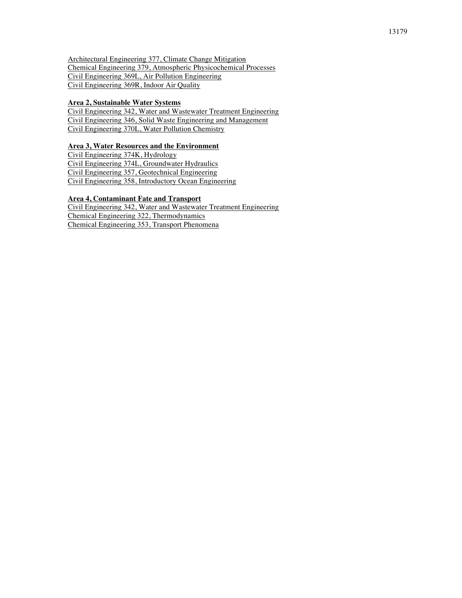Architectural Engineering 377, Climate Change Mitigation Chemical Engineering 379, Atmospheric Physicochemical Processes Civil Engineering 369L, Air Pollution Engineering Civil Engineering 369R, Indoor Air Quality

#### **Area 2, Sustainable Water Systems**

Civil Engineering 342, Water and Wastewater Treatment Engineering Civil Engineering 346, Solid Waste Engineering and Management Civil Engineering 370L, Water Pollution Chemistry

## **Area 3, Water Resources and the Environment**

Civil Engineering 374K, Hydrology Civil Engineering 374L, Groundwater Hydraulics Civil Engineering 357, Geotechnical Engineering Civil Engineering 358, Introductory Ocean Engineering

#### **Area 4, Contaminant Fate and Transport**

Civil Engineering 342, Water and Wastewater Treatment Engineering Chemical Engineering 322, Thermodynamics Chemical Engineering 353, Transport Phenomena